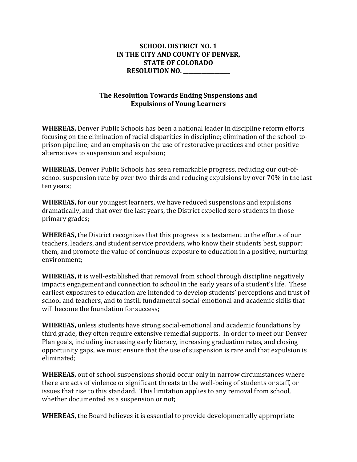## **SCHOOL DISTRICT NO. 1 IN THE CITY AND COUNTY OF DENVER, STATE OF COLORADO RESOLUTION NO. \_\_\_\_\_\_\_\_\_\_\_\_\_\_\_\_\_\_**

## **The Resolution Towards Ending Suspensions and Expulsions of Young Learners**

**WHEREAS,** Denver Public Schools has been a national leader in discipline reform efforts focusing on the elimination of racial disparities in discipline; elimination of the school-toprison pipeline; and an emphasis on the use of restorative practices and other positive alternatives to suspension and expulsion;

**WHEREAS,** Denver Public Schools has seen remarkable progress, reducing our out-ofschool suspension rate by over two-thirds and reducing expulsions by over 70% in the last ten years;

**WHEREAS,** for our youngest learners, we have reduced suspensions and expulsions dramatically, and that over the last years, the District expelled zero students in those primary grades;

**WHEREAS,** the District recognizes that this progress is a testament to the efforts of our teachers, leaders, and student service providers, who know their students best, support them, and promote the value of continuous exposure to education in a positive, nurturing environment;

**WHEREAS,** it is well-established that removal from school through discipline negatively impacts engagement and connection to school in the early years of a student's life. These earliest exposures to education are intended to develop students' perceptions and trust of school and teachers, and to instill fundamental social-emotional and academic skills that will become the foundation for success;

**WHEREAS,** unless students have strong social-emotional and academic foundations by third grade, they often require extensive remedial supports. In order to meet our Denver Plan goals, including increasing early literacy, increasing graduation rates, and closing opportunity gaps, we must ensure that the use of suspension is rare and that expulsion is eliminated;

**WHEREAS,** out of school suspensions should occur only in narrow circumstances where there are acts of violence or significant threats to the well-being of students or staff, or issues that rise to this standard. This limitation applies to any removal from school, whether documented as a suspension or not;

**WHEREAS,** the Board believes it is essential to provide developmentally appropriate